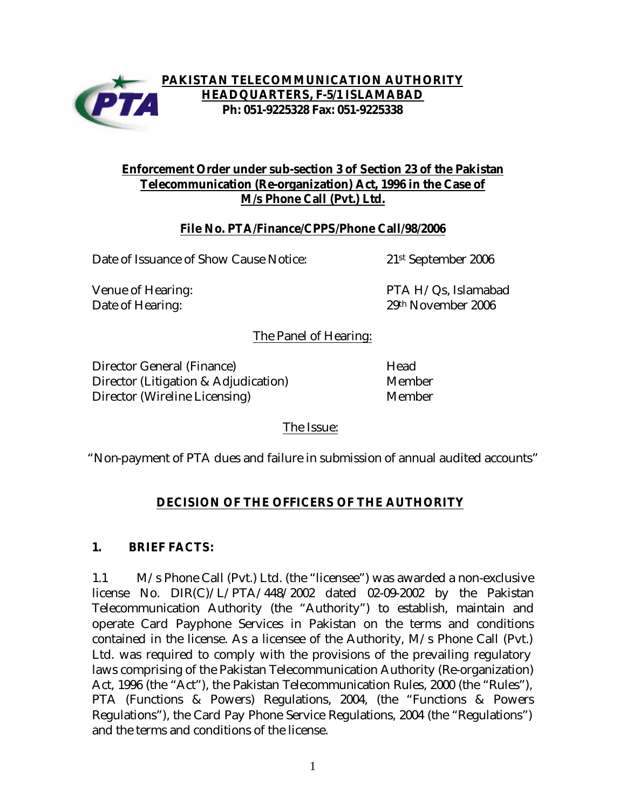

### **Enforcement Order under sub-section 3 of Section 23 of the Pakistan Telecommunication (Re-organization) Act, 1996 in the Case of M/s Phone Call (Pvt.) Ltd.**

#### **File No. PTA/Finance/CPPS/Phone Call/98/2006**

Date of Issuance of Show Cause Notice: 21<sup>st</sup> September 2006

Venue of Hearing: The South Communist Communist PTA H/Qs, Islamabad Date of Hearing: 29th November 2006

The Panel of Hearing:

Director General (Finance) Mead Director (Litigation & Adjudication) Member Director (Wireline Licensing) Member

The Issue:

"Non-payment of PTA dues and failure in submission of annual audited accounts"

# **DECISION OF THE OFFICERS OF THE AUTHORITY**

# **1. BRIEF FACTS:**

1.1 M/s Phone Call (Pvt.) Ltd. (the "licensee") was awarded a non-exclusive license No. DIR(C)/L/PTA/448/2002 dated 02-09-2002 by the Pakistan Telecommunication Authority (the "Authority") to establish, maintain and operate Card Payphone Services in Pakistan on the terms and conditions contained in the license. As a licensee of the Authority, M/s Phone Call (Pvt.) Ltd. was required to comply with the provisions of the prevailing regulatory laws comprising of the Pakistan Telecommunication Authority (Re-organization) Act, 1996 (the "Act"), the Pakistan Telecommunication Rules, 2000 (the "Rules"), PTA (Functions & Powers) Regulations, 2004, (the "Functions & Powers Regulations"), the Card Pay Phone Service Regulations, 2004 (the "Regulations") and the terms and conditions of the license.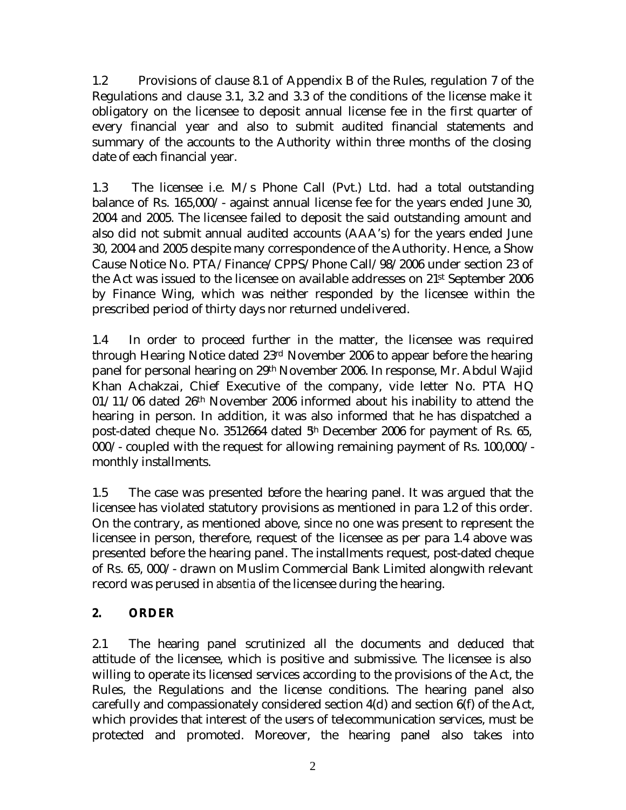1.2 Provisions of clause 8.1 of Appendix B of the Rules, regulation 7 of the Regulations and clause 3.1, 3.2 and 3.3 of the conditions of the license make it obligatory on the licensee to deposit annual license fee in the first quarter of every financial year and also to submit audited financial statements and summary of the accounts to the Authority within three months of the closing date of each financial year.

1.3 The licensee i.e. M/s Phone Call (Pvt.) Ltd. had a total outstanding balance of Rs. 165,000/- against annual license fee for the years ended June 30, 2004 and 2005. The licensee failed to deposit the said outstanding amount and also did not submit annual audited accounts (AAA's) for the years ended June 30, 2004 and 2005 despite many correspondence of the Authority. Hence, a Show Cause Notice No. PTA/Finance/CPPS/Phone Call/98/2006 under section 23 of the Act was issued to the licensee on available addresses on 21st September 2006 by Finance Wing, which was neither responded by the licensee within the prescribed period of thirty days nor returned undelivered.

1.4 In order to proceed further in the matter, the licensee was required through Hearing Notice dated 23rd November 2006 to appear before the hearing panel for personal hearing on 29th November 2006. In response, Mr. Abdul Wajid Khan Achakzai, Chief Executive of the company, vide letter No. PTA HQ 01/11/06 dated 26th November 2006 informed about his inability to attend the hearing in person. In addition, it was also informed that he has dispatched a post-dated cheque No. 3512664 dated  $5<sup>h</sup>$  December 2006 for payment of Rs. 65, 000/- coupled with the request for allowing remaining payment of Rs. 100,000/ monthly installments.

1.5 The case was presented before the hearing panel. It was argued that the licensee has violated statutory provisions as mentioned in para 1.2 of this order. On the contrary, as mentioned above, since no one was present to represent the licensee in person, therefore, request of the licensee as per para 1.4 above was presented before the hearing panel. The installments request, post-dated cheque of Rs. 65, 000/- drawn on Muslim Commercial Bank Limited alongwith relevant record was perused in *absentia* of the licensee during the hearing.

# **2. ORDER**

2.1 The hearing panel scrutinized all the documents and deduced that attitude of the licensee, which is positive and submissive. The licensee is also willing to operate its licensed services according to the provisions of the Act, the Rules, the Regulations and the license conditions. The hearing panel also carefully and compassionately considered section  $4(d)$  and section  $6(f)$  of the Act, which provides that interest of the users of telecommunication services, must be protected and promoted. Moreover, the hearing panel also takes into